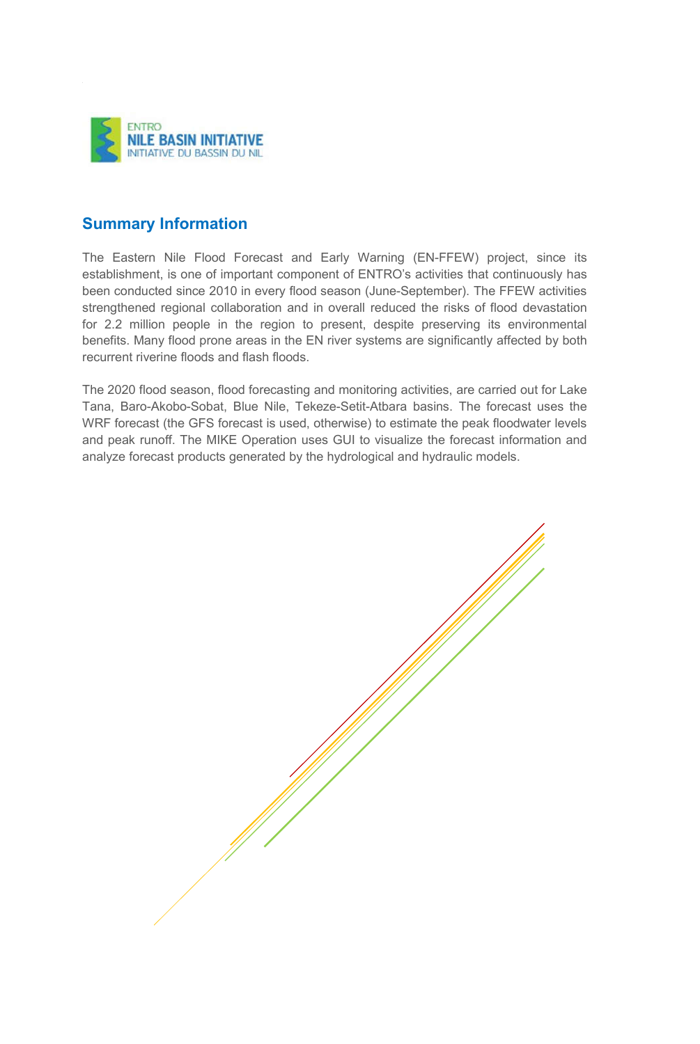

## **Summary Information**

The Eastern Nile Flood Forecast and Early Warning (EN-FFEW) project, since its establishment, is one of important component of ENTRO's activities that continuously has been conducted since 2010 in every flood season (June-September). The FFEW activities strengthened regional collaboration and in overall reduced the risks of flood devastation for 2.2 million people in the region to present, despite preserving its environmental benefits. Many flood prone areas in the EN river systems are significantly affected by both recurrent riverine floods and flash floods.

The 2020 flood season, flood forecasting and monitoring activities, are carried out for Lake Tana, Baro-Akobo-Sobat, Blue Nile, Tekeze-Setit-Atbara basins. The forecast uses the WRF forecast (the GFS forecast is used, otherwise) to estimate the peak floodwater levels and peak runoff. The MIKE Operation uses GUI to visualize the forecast information and analyze forecast products generated by the hydrological and hydraulic models.

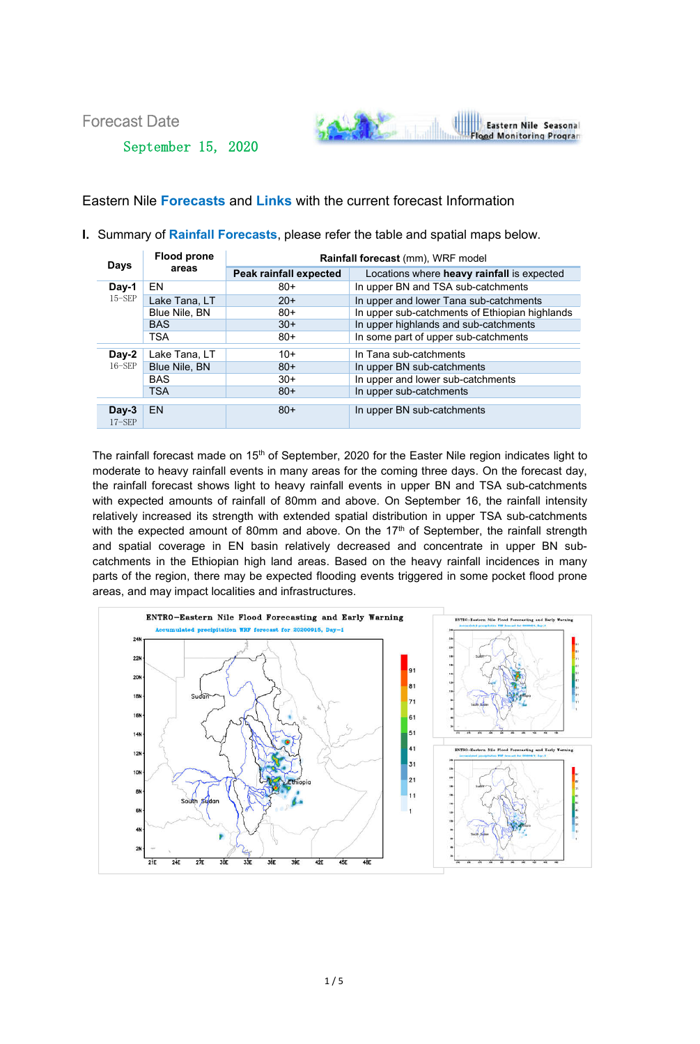Forecast Date

September 15, 2020



## Eastern Nile **Forecasts** and **Links** with the current forecast Information

**I.** Summary of **Rainfall Forecasts**, please refer the table and spatial maps below.

| <b>Days</b>         | <b>Flood prone</b><br>areas | Rainfall forecast (mm), WRF model |                                                |
|---------------------|-----------------------------|-----------------------------------|------------------------------------------------|
|                     |                             | Peak rainfall expected            | Locations where heavy rainfall is expected     |
| Day-1<br>$15-$ SEP  | EN                          | $80+$                             | In upper BN and TSA sub-catchments             |
|                     | Lake Tana, LT               | $20+$                             | In upper and lower Tana sub-catchments         |
|                     | Blue Nile, BN               | $80+$                             | In upper sub-catchments of Ethiopian highlands |
|                     | <b>BAS</b>                  | $30+$                             | In upper highlands and sub-catchments          |
|                     | <b>TSA</b>                  | $80+$                             | In some part of upper sub-catchments           |
| Day-2<br>$16 - SEP$ | Lake Tana, LT               | $10+$                             | In Tana sub-catchments                         |
|                     | Blue Nile, BN               | $80+$                             | In upper BN sub-catchments                     |
|                     | <b>BAS</b>                  | $30+$                             | In upper and lower sub-catchments              |
|                     | <b>TSA</b>                  | $80+$                             | In upper sub-catchments                        |
| $Day-3$             | EN.                         | $80+$                             | In upper BN sub-catchments                     |
| $17-$ SEP           |                             |                                   |                                                |

The rainfall forecast made on 15<sup>th</sup> of September, 2020 for the Easter Nile region indicates light to moderate to heavy rainfall events in many areas for the coming three days. On the forecast day, the rainfall forecast shows light to heavy rainfall events in upper BN and TSA sub-catchments with expected amounts of rainfall of 80mm and above. On September 16, the rainfall intensity relatively increased its strength with extended spatial distribution in upper TSA sub-catchments with the expected amount of 80mm and above. On the 17<sup>th</sup> of September, the rainfall strength and spatial coverage in EN basin relatively decreased and concentrate in upper BN subcatchments in the Ethiopian high land areas. Based on the heavy rainfall incidences in many parts of the region, there may be expected flooding events triggered in some pocket flood prone areas, and may impact localities and infrastructures.

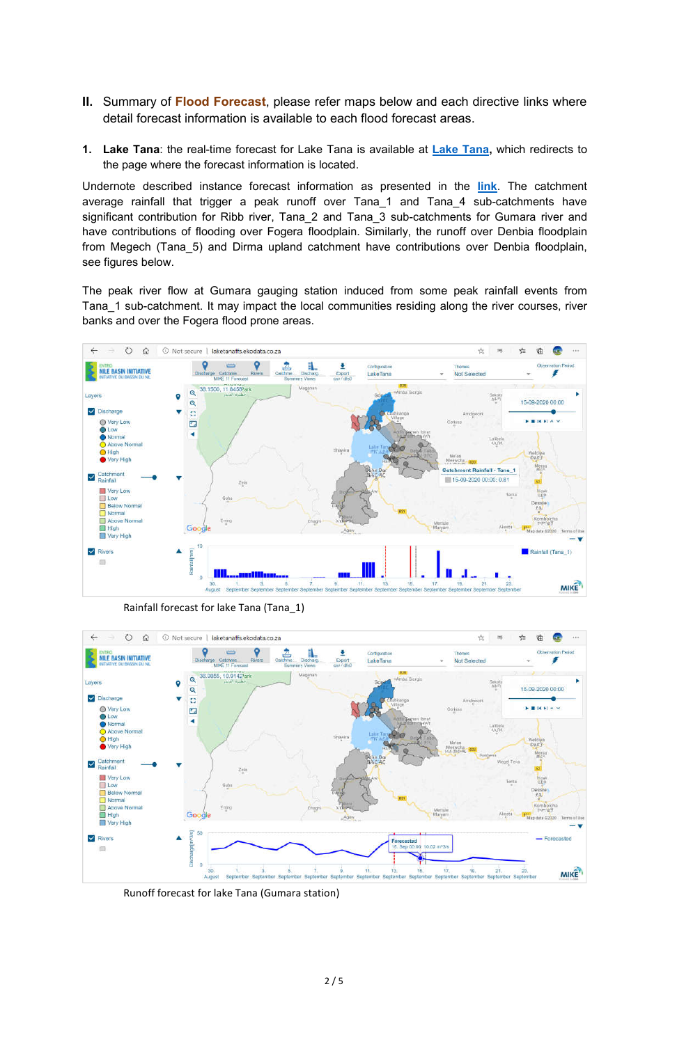- **II.** Summary of **Flood Forecast**, please refer maps below and each directive links where detail forecast information is available to each flood forecast areas.
- **1. Lake Tana**: the real-time forecast for Lake Tana is available at **Lake Tana,** which redirects to the page where the forecast information is located.

Undernote described instance forecast information as presented in the **link**. The catchment average rainfall that trigger a peak runoff over Tana\_1 and Tana\_4 sub-catchments have significant contribution for Ribb river, Tana\_2 and Tana\_3 sub-catchments for Gumara river and have contributions of flooding over Fogera floodplain. Similarly, the runoff over Denbia floodplain from Megech (Tana 5) and Dirma upland catchment have contributions over Denbia floodplain, see figures below.

The peak river flow at Gumara gauging station induced from some peak rainfall events from Tana\_1 sub-catchment. It may impact the local communities residing along the river courses, river banks and over the Fogera flood prone areas.



Rainfall forecast for lake Tana (Tana\_1)



Runoff forecast for lake Tana (Gumara station)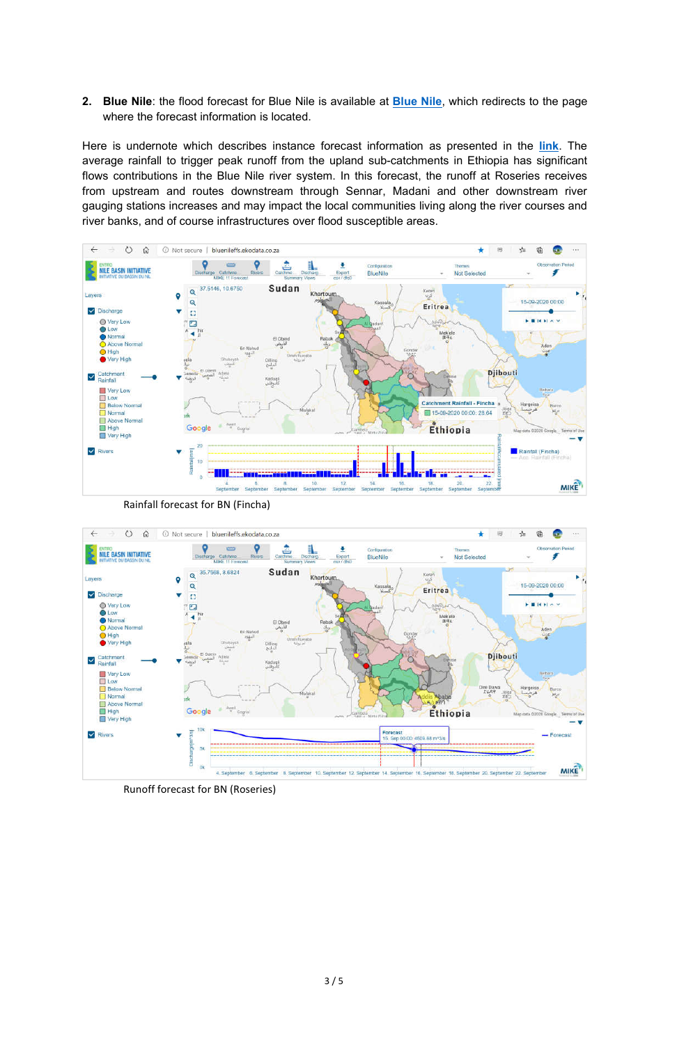**2. Blue Nile**: the flood forecast for Blue Nile is available at **Blue Nile**, which redirects to the page where the forecast information is located.

Here is undernote which describes instance forecast information as presented in the **link**. The average rainfall to trigger peak runoff from the upland sub-catchments in Ethiopia has significant flows contributions in the Blue Nile river system. In this forecast, the runoff at Roseries receives from upstream and routes downstream through Sennar, Madani and other downstream river gauging stations increases and may impact the local communities living along the river courses and river banks, and of course infrastructures over flood susceptible areas.



Rainfall forecast for BN (Fincha)



Runoff forecast for BN (Roseries)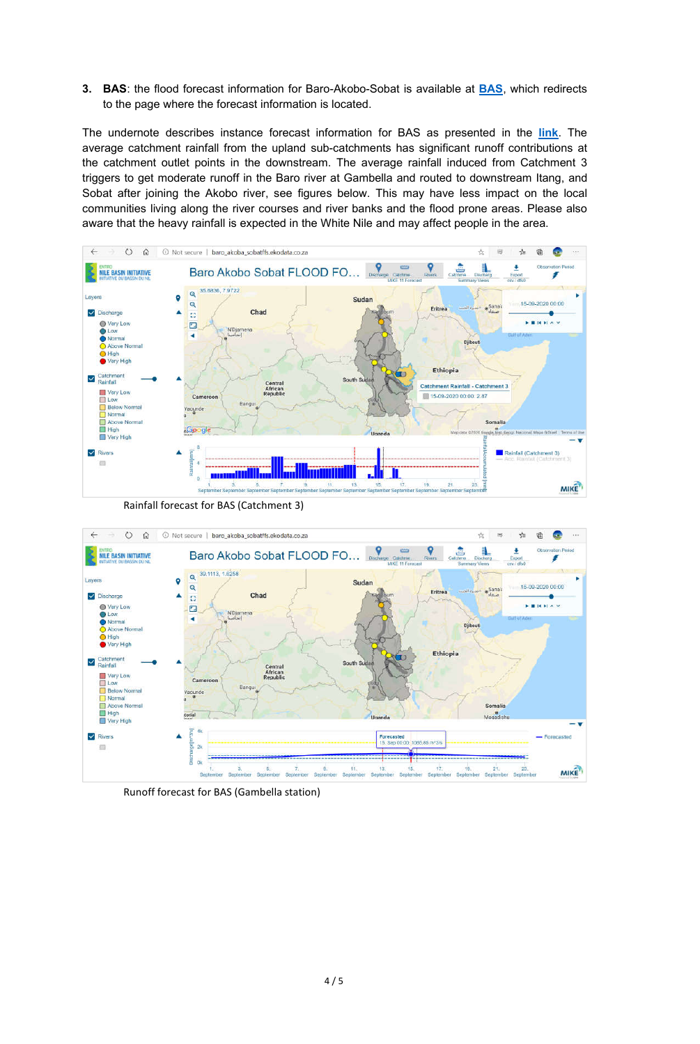**3. BAS**: the flood forecast information for Baro-Akobo-Sobat is available at **BAS**, which redirects to the page where the forecast information is located.

The undernote describes instance forecast information for BAS as presented in the **link**. The average catchment rainfall from the upland sub-catchments has significant runoff contributions at the catchment outlet points in the downstream. The average rainfall induced from Catchment 3 triggers to get moderate runoff in the Baro river at Gambella and routed to downstream Itang, and Sobat after joining the Akobo river, see figures below. This may have less impact on the local communities living along the river courses and river banks and the flood prone areas. Please also aware that the heavy rainfall is expected in the White Nile and may affect people in the area.



Rainfall forecast for BAS (Catchment 3)



Runoff forecast for BAS (Gambella station)